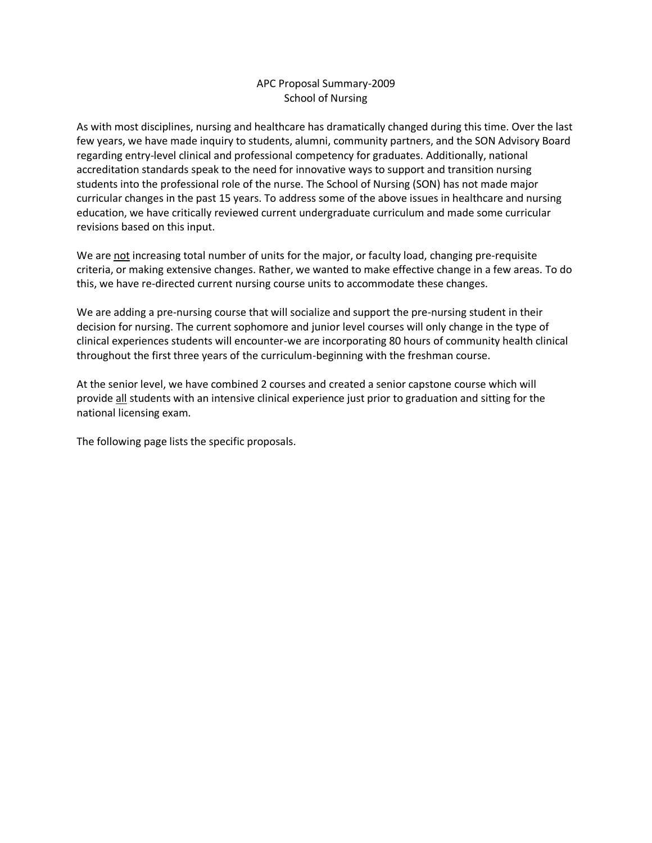## APC Proposal Summary-2009 School of Nursing

As with most disciplines, nursing and healthcare has dramatically changed during this time. Over the last few years, we have made inquiry to students, alumni, community partners, and the SON Advisory Board regarding entry-level clinical and professional competency for graduates. Additionally, national accreditation standards speak to the need for innovative ways to support and transition nursing students into the professional role of the nurse. The School of Nursing (SON) has not made major curricular changes in the past 15 years. To address some of the above issues in healthcare and nursing education, we have critically reviewed current undergraduate curriculum and made some curricular revisions based on this input.

We are not increasing total number of units for the major, or faculty load, changing pre-requisite criteria, or making extensive changes. Rather, we wanted to make effective change in a few areas. To do this, we have re-directed current nursing course units to accommodate these changes.

We are adding a pre-nursing course that will socialize and support the pre-nursing student in their decision for nursing. The current sophomore and junior level courses will only change in the type of clinical experiences students will encounter-we are incorporating 80 hours of community health clinical throughout the first three years of the curriculum-beginning with the freshman course.

At the senior level, we have combined 2 courses and created a senior capstone course which will provide all students with an intensive clinical experience just prior to graduation and sitting for the national licensing exam.

The following page lists the specific proposals.